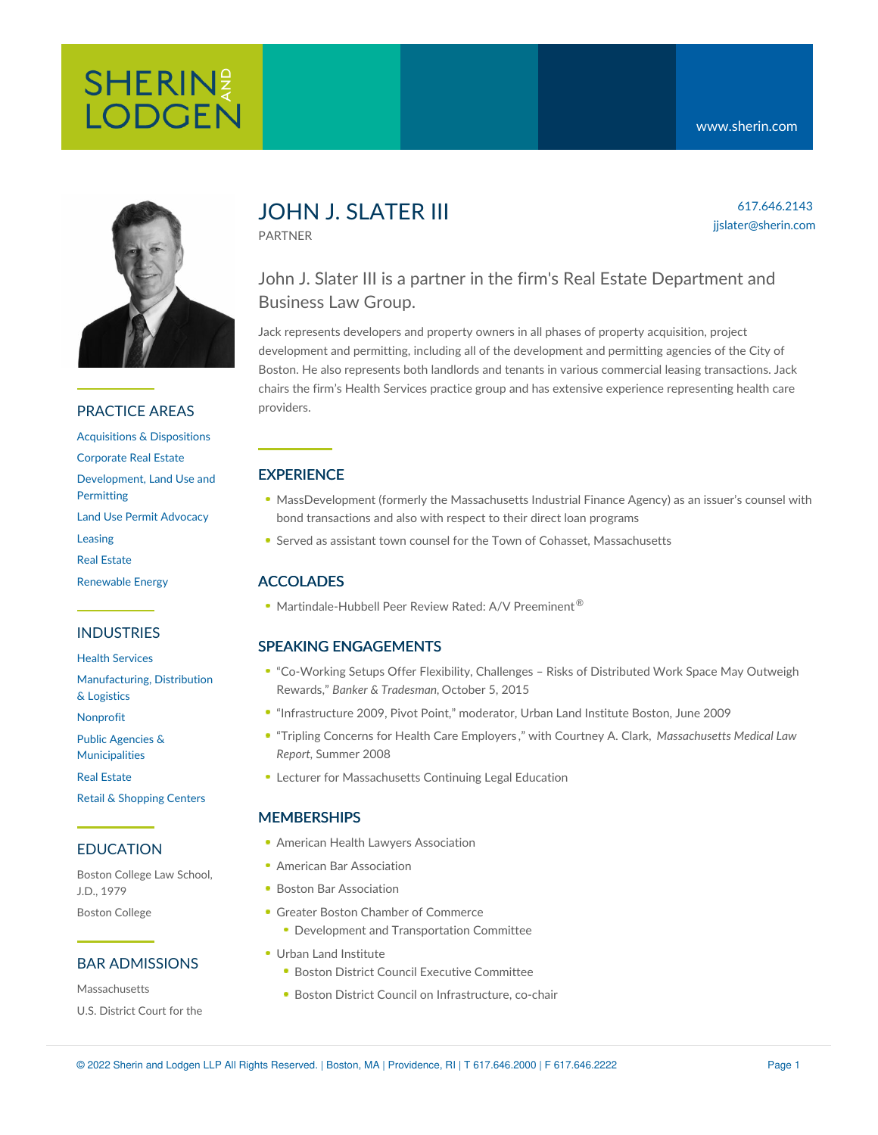

### PRACTICE AREAS

[Acquisitions](https://www.sherin.com/practice-areas/real-estate/acquisitions-and-dispositions/) & Dispositions [Corporate](https://www.sherin.com/practice-areas/real-estate/corporate-real-estate/) Real Estate [Development,](https://www.sherin.com/practice-areas/real-estate/development/) Land Use and Permitting Land Use Permit [Advocacy](https://www.sherin.com/practice-areas/real-estate/land-use-permit-advocacy/) [Leasing](https://www.sherin.com/practice-areas/real-estate/leasing/) Real [Estate](https://www.sherin.com/practice-areas/real-estate/) [Renewable](https://www.sherin.com/practice-areas/renewable-energy/) Energy

### INDUSTRIES

Health [Services](https://www.sherin.com/industries/health-services/)

[Manufacturing,](https://www.sherin.com/industries/manufacturing-distribution-and-logistics/) Distribution & Logistics

[Nonprofit](https://www.sherin.com/industries/nonprofit/)

Public Agencies &

[Municipalities](https://www.sherin.com/industries/public-agencies-and-municipalities/)

Real [Estate](https://www.sherin.com/industries/real-estate/) Retail & [Shopping](https://www.sherin.com/industries/retail-shopping-centers/) Centers

### EDUCATION

Boston College Law School, J.D., 1979 Boston College

### BAR ADMISSIONS

Massachusetts U.S. District Court for the

# JOHN J. SLATER III

PARTNER

### 617.646.2143 jjslater@sherin.com

## John J. Slater III is a partner in the firm's Real Estate Department and Business Law Group.

Jack represents developers and property owners in all phases of property acquisition, project development and permitting, including all of the development and permitting agencies of the City of Boston. He also represents both landlords and tenants in various commercial leasing transactions. Jack chairs the firm's Health Services practice group and has extensive experience representing health care providers.

### **EXPERIENCE**

- MassDevelopment (formerly the Massachusetts Industrial Finance Agency) as an issuer's counsel with bond transactions and also with respect to their direct loan programs
- Served as assistant town counsel for the Town of Cohasset, Massachusetts

### ACCOLADES

Martindale-Hubbell Peer Review Rated: A/V Preeminent<sup>®</sup>

### SPEAKING ENGAGEMENTS

- ["Co-Working](https://www.sherin.com/wp-content/uploads/2015/05/BT-JJS-Reprint-Oct-2015.pdf) Setups Offer Flexibility, Challenges Risks of Distributed Work Space May Outweigh Rewards," *Banker & Tradesman,* October 5, 2015
- "Infrastructure 2009, Pivot Point," moderator, Urban Land Institute Boston, June 2009
- "Tripling Concerns for Health Care [Employers](https://www.sherin.com/wp-content/uploads/sh_files/Documents/cac_jjs_article_in_mmlr.pdf) ," with Courtney A. Clark, *Massachusetts Medical Law Report*, Summer 2008
- Lecturer for Massachusetts Continuing Legal Education

### **MEMBERSHIPS**

- American Health Lawyers [Association](http://www.healthlawyers.org/Pages/Default.aspx)
- **American Bar [Association](http://www.americanbar.org/)**
- Boston Bar [Association](http://www.bostonbar.org/)
- Greater Boston Chamber of [Commerce](http://www.bostonchamber.com/)
	- **Development and Transportation Committee**
- Urban Land [Institute](http://commerce.uli.org/)
	- **Boston District Council Executive Committee**
	- **Boston District Council on Infrastructure, co-chair**